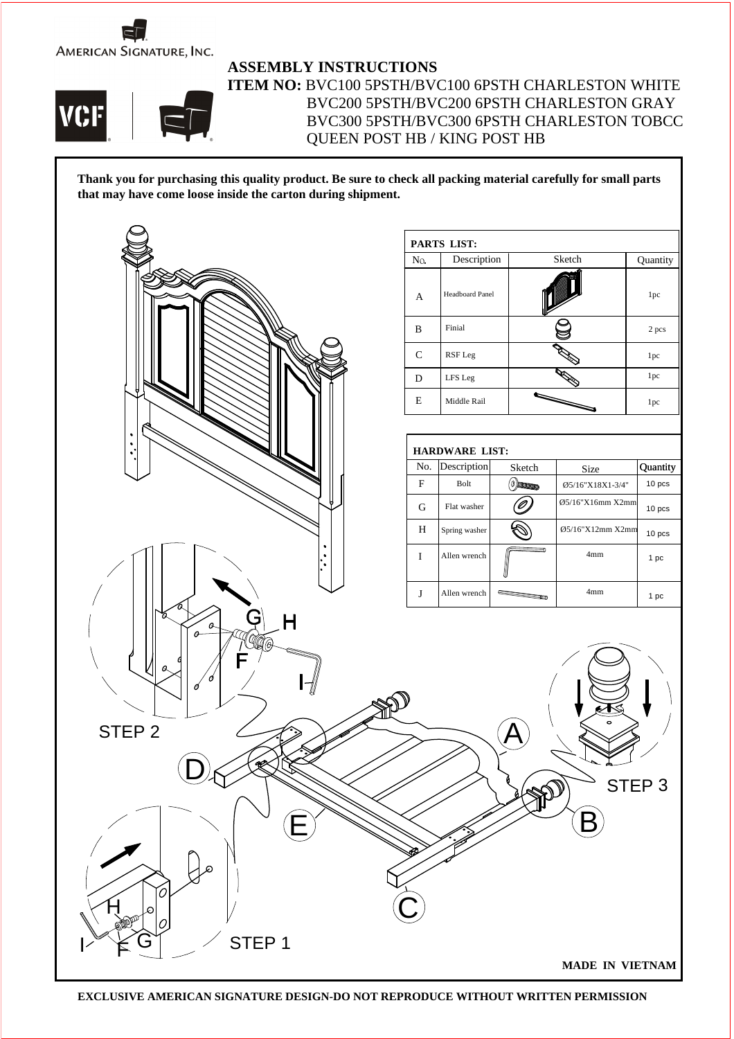



## **ASSEMBLY INSTRUCTIONS**

**ITEM NO:** BVC100 5PSTH/BVC100 6PSTH CHARLESTON WHITE BVC200 5PSTH/BVC200 6PSTH CHARLESTON GRAY BVC300 5PSTH/BVC300 6PSTH CHARLESTON TOBCC QUEEN POST HB / KING POST HB

**Thank you for purchasing this quality product. Be sure to check all packing material carefully for small parts that may have come loose inside the carton during shipment.**



**EXCLUSIVE AMERICAN SIGNATURE DESIGN-DO NOT REPRODUCE WITHOUT WRITTEN PERMISSION**